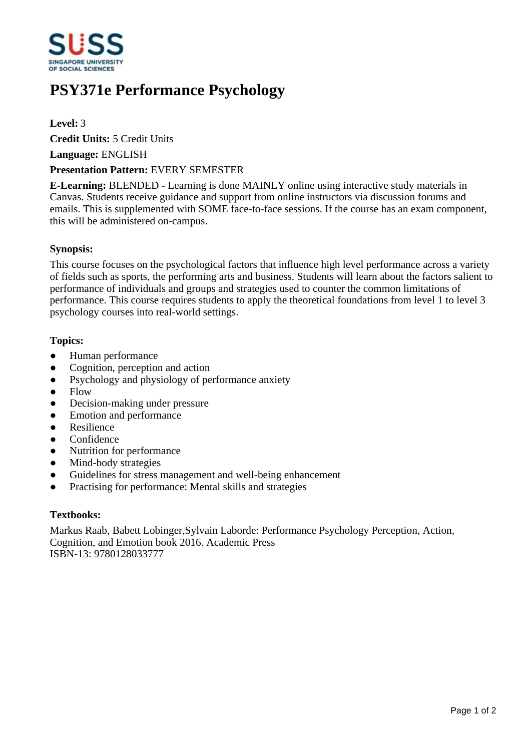

# **PSY371e Performance Psychology**

## **Level:** 3

**Credit Units:** 5 Credit Units

**Language:** ENGLISH

## **Presentation Pattern:** EVERY SEMESTER

**E-Learning:** BLENDED - Learning is done MAINLY online using interactive study materials in Canvas. Students receive guidance and support from online instructors via discussion forums and emails. This is supplemented with SOME face-to-face sessions. If the course has an exam component, this will be administered on-campus.

## **Synopsis:**

This course focuses on the psychological factors that influence high level performance across a variety of fields such as sports, the performing arts and business. Students will learn about the factors salient to performance of individuals and groups and strategies used to counter the common limitations of performance. This course requires students to apply the theoretical foundations from level 1 to level 3 psychology courses into real-world settings.

#### **Topics:**

- Human performance
- Cognition, perception and action
- Psychology and physiology of performance anxiety
- $\bullet$  Flow
- Decision-making under pressure
- ƔEmotion and performance
- Resilience
- Confidence
- Nutrition for performance
- Mind-body strategies
- Guidelines for stress management and well-being enhancement
- Practising for performance: Mental skills and strategies

## **Textbooks:**

Markus Raab, Babett Lobinger,Sylvain Laborde: Performance Psychology Perception, Action, Cognition, and Emotion book 2016. Academic Press ISBN-13: 9780128033777